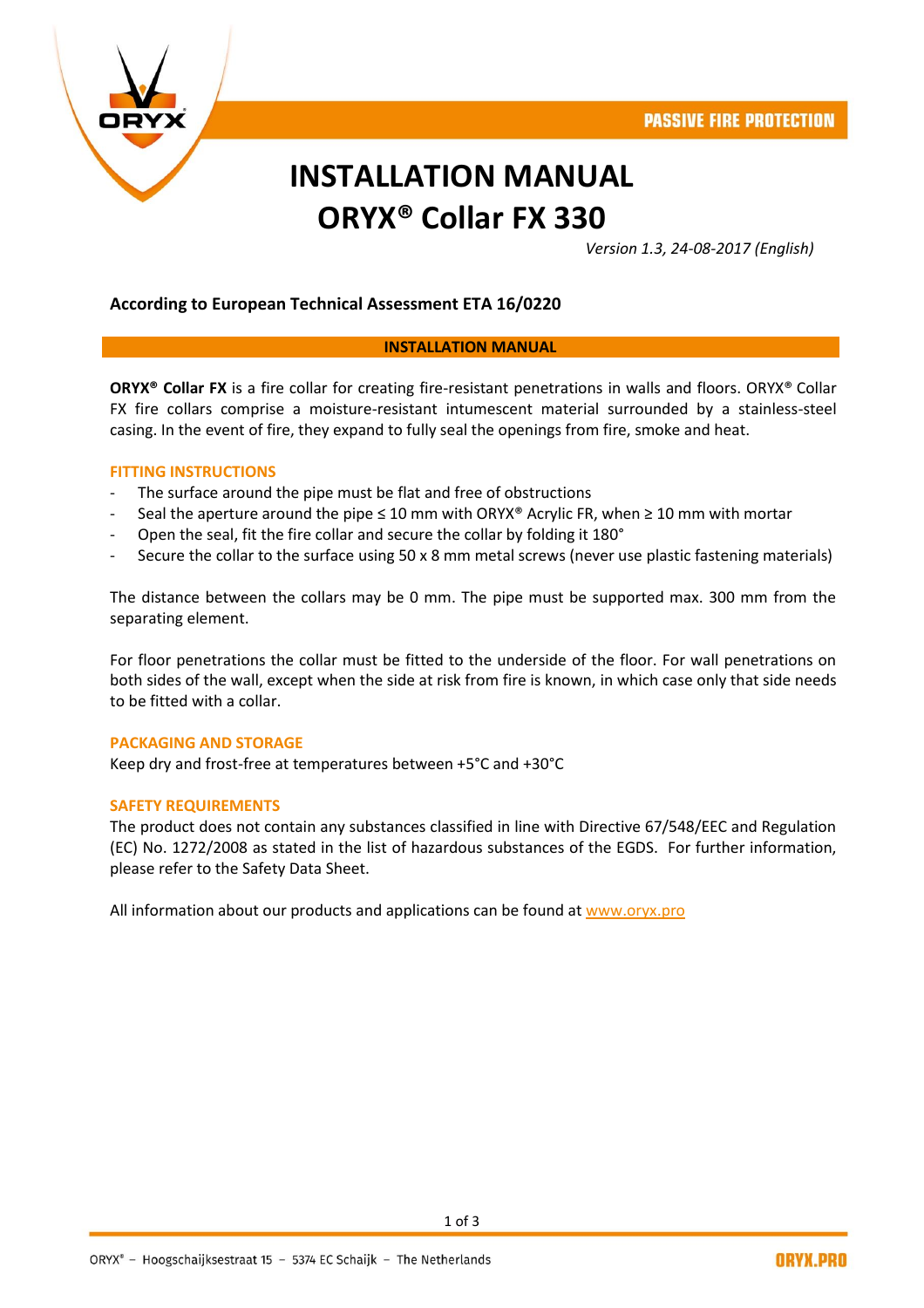

# **INSTALLATION MANUAL ORYX® Collar FX 330**

*Version 1.3, 24-08-2017 (English)*

#### **According to European Technical Assessment ETA 16/0220**

#### **INSTALLATION MANUAL**

**ORYX® Collar FX** is a fire collar for creating fire-resistant penetrations in walls and floors. ORYX® Collar FX fire collars comprise a moisture-resistant intumescent material surrounded by a stainless-steel casing. In the event of fire, they expand to fully seal the openings from fire, smoke and heat.

#### **FITTING INSTRUCTIONS**

- The surface around the pipe must be flat and free of obstructions
- Seal the aperture around the pipe ≤ 10 mm with ORYX® Acrylic FR, when ≥ 10 mm with mortar
- Open the seal, fit the fire collar and secure the collar by folding it 180°
- Secure the collar to the surface using 50 x 8 mm metal screws (never use plastic fastening materials)

The distance between the collars may be 0 mm. The pipe must be supported max. 300 mm from the separating element.

For floor penetrations the collar must be fitted to the underside of the floor. For wall penetrations on both sides of the wall, except when the side at risk from fire is known, in which case only that side needs to be fitted with a collar.

#### **PACKAGING AND STORAGE**

Keep dry and frost-free at temperatures between +5°C and +30°C

#### **SAFETY REQUIREMENTS**

The product does not contain any substances classified in line with Directive 67/548/EEC and Regulation (EC) No. 1272/2008 as stated in the list of hazardous substances of the EGDS. For further information, please refer to the Safety Data Sheet.

All information about our products and applications can be found at [www.oryx.pro](http://www.oryx.pro/)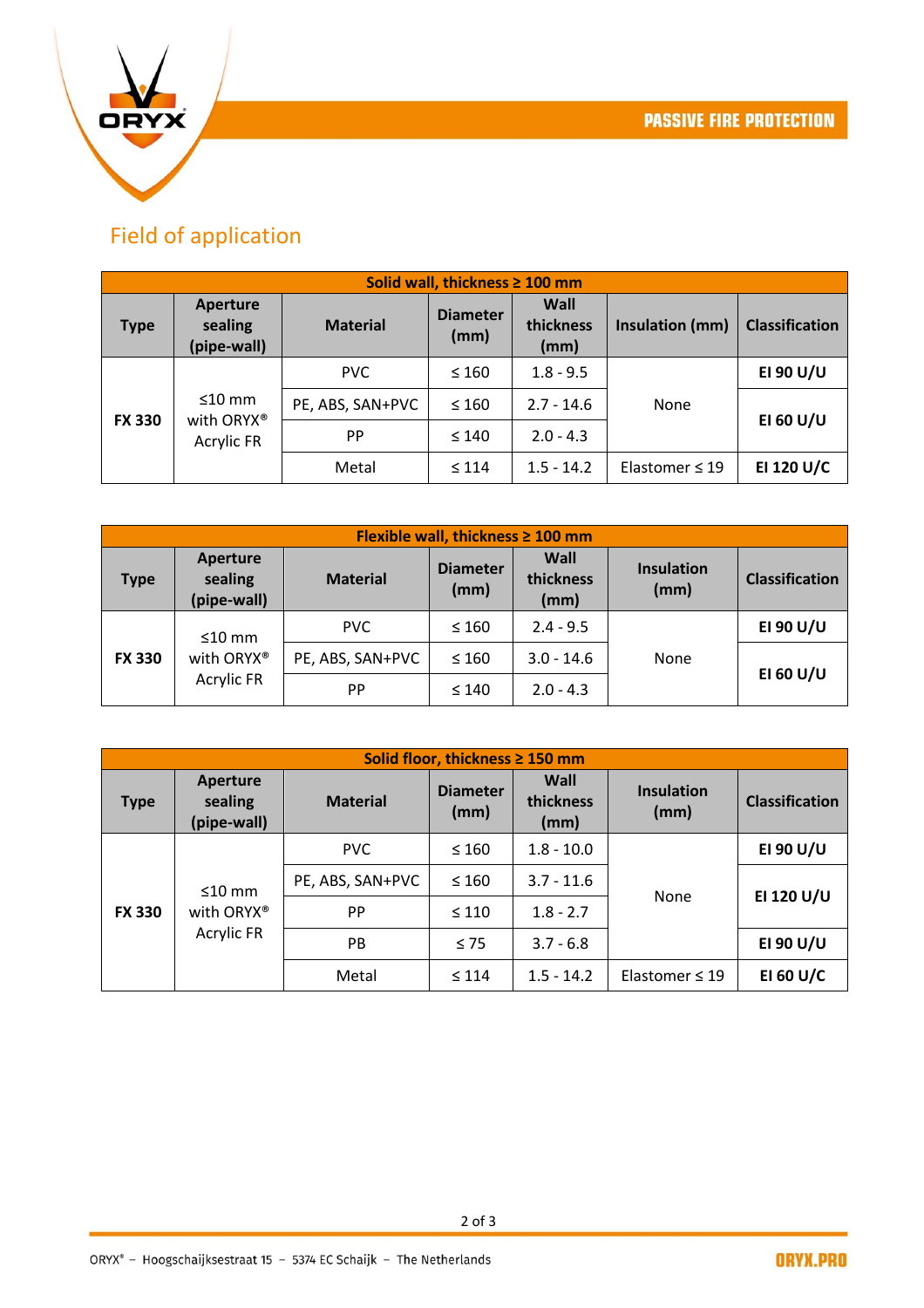

## Field of application

| Solid wall, thickness ≥ 100 mm |                                                 |                  |                         |                           |                     |                       |
|--------------------------------|-------------------------------------------------|------------------|-------------------------|---------------------------|---------------------|-----------------------|
| <b>Type</b>                    | Aperture<br>sealing<br>(pipe-wall)              | <b>Material</b>  | <b>Diameter</b><br>(mm) | Wall<br>thickness<br>(mm) | Insulation (mm)     | <b>Classification</b> |
| <b>FX 330</b>                  | $\leq 10$ mm<br>with ORYX®<br><b>Acrylic FR</b> | <b>PVC</b>       | $\leq 160$              | $1.8 - 9.5$               | None                | EI 90 U/U             |
|                                |                                                 | PE, ABS, SAN+PVC | $\leq 160$              | $2.7 - 14.6$              |                     | EI 60 U/U             |
|                                |                                                 | <b>PP</b>        | $\leq 140$              | $2.0 - 4.3$               |                     |                       |
|                                |                                                 | Metal            | $\leq 114$              | $1.5 - 14.2$              | Elastomer $\leq 19$ | EI 120 U/C            |

| Flexible wall, thickness $\geq 100$ mm |                                                 |                  |                         |                           |                           |                       |
|----------------------------------------|-------------------------------------------------|------------------|-------------------------|---------------------------|---------------------------|-----------------------|
| Type                                   | <b>Aperture</b><br>sealing<br>(pipe-wall)       | <b>Material</b>  | <b>Diameter</b><br>(mm) | Wall<br>thickness<br>(mm) | <b>Insulation</b><br>(mm) | <b>Classification</b> |
| <b>FX 330</b>                          | $\leq 10$ mm<br>with ORYX®<br><b>Acrylic FR</b> | PVC.             | $\leq 160$              | $2.4 - 9.5$               | None                      | EI 90 U/U             |
|                                        |                                                 | PE, ABS, SAN+PVC | $\leq 160$              | $3.0 - 14.6$              |                           | EI 60 U/U             |
|                                        |                                                 | <b>PP</b>        | $\leq 140$              | $2.0 - 4.3$               |                           |                       |

| Solid floor, thickness ≥ 150 mm |                                                 |                  |                         |                           |                           |                       |
|---------------------------------|-------------------------------------------------|------------------|-------------------------|---------------------------|---------------------------|-----------------------|
| <b>Type</b>                     | Aperture<br>sealing<br>(pipe-wall)              | <b>Material</b>  | <b>Diameter</b><br>(mm) | Wall<br>thickness<br>(mm) | <b>Insulation</b><br>(mm) | <b>Classification</b> |
| <b>FX 330</b>                   | $\leq 10$ mm<br>with ORYX®<br><b>Acrylic FR</b> | <b>PVC</b>       | $\leq 160$              | $1.8 - 10.0$              | None                      | EI 90 U/U             |
|                                 |                                                 | PE, ABS, SAN+PVC | $\leq 160$              | $3.7 - 11.6$              |                           | EI 120 U/U            |
|                                 |                                                 | PP               | $\leq 110$              | $1.8 - 2.7$               |                           |                       |
|                                 |                                                 | <b>PB</b>        | $\leq 75$               | $3.7 - 6.8$               |                           | EI 90 U/U             |
|                                 |                                                 | Metal            | $\leq 114$              | $1.5 - 14.2$              | Elastomer $\leq 19$       | EI 60 U/C             |